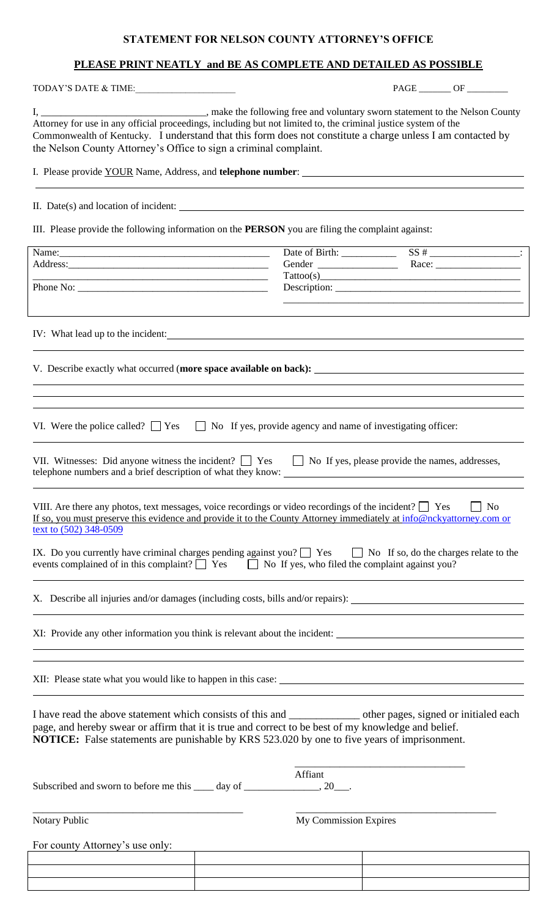### **STATEMENT FOR NELSON COUNTY ATTORNEY'S OFFICE**

## **PLEASE PRINT NEATLY and BE AS COMPLETE AND DETAILED AS POSSIBLE**

TODAY'S DATE & TIME:\_\_\_\_\_\_\_\_\_\_\_\_\_\_\_\_\_\_\_\_\_\_ PAGE \_\_\_\_\_\_\_ OF \_\_\_\_\_\_\_\_\_

| , make the following free and voluntary sworn statement to the Nelson County                                   |
|----------------------------------------------------------------------------------------------------------------|
| Attorney for use in any official proceedings, including but not limited to, the criminal justice system of the |
| Commonwealth of Kentucky. I understand that this form does not constitute a charge unless I am contacted by    |
| the Nelson County Attorney's Office to sign a criminal complaint.                                              |

I. Please provide YOUR Name, Address, and **telephone number**:

II. Date(s) and location of incident:

III. Please provide the following information on the **PERSON** you are filing the complaint against:

| Name:                                                                                                                                                                                                                                                                                                                         |                       |                                                                                                                                                                                                                                                                                                                                                                                                                                                                                                                                                                                                                                                   |
|-------------------------------------------------------------------------------------------------------------------------------------------------------------------------------------------------------------------------------------------------------------------------------------------------------------------------------|-----------------------|---------------------------------------------------------------------------------------------------------------------------------------------------------------------------------------------------------------------------------------------------------------------------------------------------------------------------------------------------------------------------------------------------------------------------------------------------------------------------------------------------------------------------------------------------------------------------------------------------------------------------------------------------|
|                                                                                                                                                                                                                                                                                                                               |                       |                                                                                                                                                                                                                                                                                                                                                                                                                                                                                                                                                                                                                                                   |
| <u> 2000 - Jan James James James James James James James James James James James James James James James James J</u>                                                                                                                                                                                                          |                       | $\text{Tattoo(s)} \qquad \qquad \text{---} \qquad \qquad \text{---} \qquad \qquad \text{---} \qquad \qquad \text{---} \qquad \qquad \text{---} \qquad \qquad \text{---} \qquad \qquad \text{---} \qquad \qquad \text{---} \qquad \qquad \text{---} \qquad \qquad \text{---} \qquad \qquad \text{---} \qquad \qquad \text{---} \qquad \qquad \text{---} \qquad \qquad \text{---} \qquad \qquad \text{---} \qquad \qquad \text{---} \qquad \qquad \text{---} \qquad \qquad \text{---} \qquad \qquad \text{---} \qquad \$<br><u> 1989 - Johann John Stone, market fan de Amerikaanske kommunister fan de Amerikaanske kommunister fan de Amerika</u> |
|                                                                                                                                                                                                                                                                                                                               |                       |                                                                                                                                                                                                                                                                                                                                                                                                                                                                                                                                                                                                                                                   |
|                                                                                                                                                                                                                                                                                                                               |                       |                                                                                                                                                                                                                                                                                                                                                                                                                                                                                                                                                                                                                                                   |
| VI. Were the police called? $\Box$ Yes $\Box$ No If yes, provide agency and name of investigating officer:                                                                                                                                                                                                                    |                       |                                                                                                                                                                                                                                                                                                                                                                                                                                                                                                                                                                                                                                                   |
| VII. Witnesses: Did anyone witness the incident? $\Box$ Yes $\Box$ No If yes, please provide the names, addresses,<br>telephone numbers and a brief description of what they know:                                                                                                                                            |                       |                                                                                                                                                                                                                                                                                                                                                                                                                                                                                                                                                                                                                                                   |
| VIII. Are there any photos, text messages, voice recordings or video recordings of the incident? $\Box$ Yes<br>If so, you must preserve this evidence and provide it to the County Attorney immediately at info@nckyattorney.com or<br>text to (502) 348-0509                                                                 |                       | $\Box$ No                                                                                                                                                                                                                                                                                                                                                                                                                                                                                                                                                                                                                                         |
| IX. Do you currently have criminal charges pending against you? $\Box$ Yes $\Box$ No If so, do the charges relate to the<br>events complained of in this complaint? $\Box$ Yes $\Box$ No If yes, who filed the complaint against you?                                                                                         |                       |                                                                                                                                                                                                                                                                                                                                                                                                                                                                                                                                                                                                                                                   |
| X. Describe all injuries and/or damages (including costs, bills and/or repairs):                                                                                                                                                                                                                                              |                       |                                                                                                                                                                                                                                                                                                                                                                                                                                                                                                                                                                                                                                                   |
| XI: Provide any other information you think is relevant about the incident:                                                                                                                                                                                                                                                   |                       |                                                                                                                                                                                                                                                                                                                                                                                                                                                                                                                                                                                                                                                   |
| XII: Please state what you would like to happen in this case:                                                                                                                                                                                                                                                                 |                       |                                                                                                                                                                                                                                                                                                                                                                                                                                                                                                                                                                                                                                                   |
| I have read the above statement which consists of this and ______________ other pages, signed or initialed each<br>page, and hereby swear or affirm that it is true and correct to be best of my knowledge and belief.<br><b>NOTICE:</b> False statements are punishable by KRS 523.020 by one to five years of imprisonment. |                       |                                                                                                                                                                                                                                                                                                                                                                                                                                                                                                                                                                                                                                                   |
| Subscribed and sworn to before me this _____ day of _________________, 20____.                                                                                                                                                                                                                                                | Affiant               |                                                                                                                                                                                                                                                                                                                                                                                                                                                                                                                                                                                                                                                   |
| Notary Public                                                                                                                                                                                                                                                                                                                 | My Commission Expires |                                                                                                                                                                                                                                                                                                                                                                                                                                                                                                                                                                                                                                                   |
| For county Attorney's use only:                                                                                                                                                                                                                                                                                               |                       |                                                                                                                                                                                                                                                                                                                                                                                                                                                                                                                                                                                                                                                   |
|                                                                                                                                                                                                                                                                                                                               |                       |                                                                                                                                                                                                                                                                                                                                                                                                                                                                                                                                                                                                                                                   |
|                                                                                                                                                                                                                                                                                                                               |                       |                                                                                                                                                                                                                                                                                                                                                                                                                                                                                                                                                                                                                                                   |